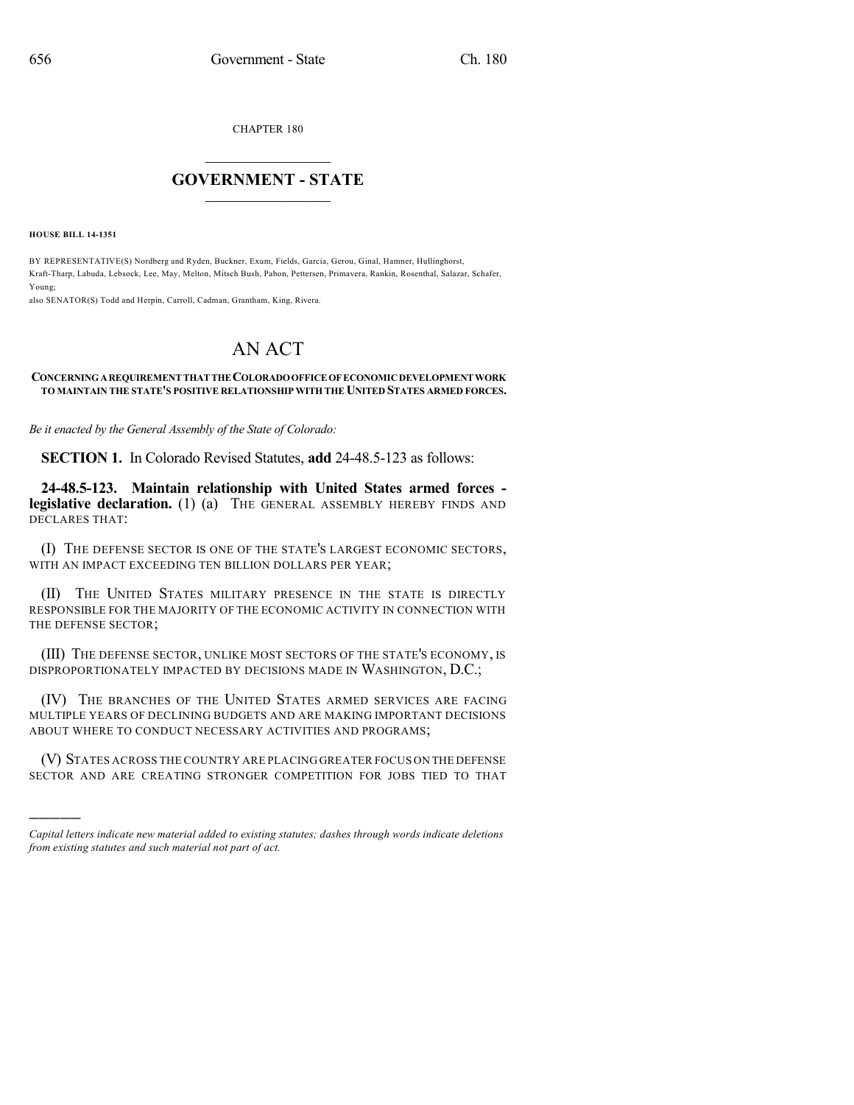CHAPTER 180

## $\mathcal{L}_\text{max}$  . The set of the set of the set of the set of the set of the set of the set of the set of the set of the set of the set of the set of the set of the set of the set of the set of the set of the set of the set **GOVERNMENT - STATE**  $\_$   $\_$

**HOUSE BILL 14-1351**

)))))

BY REPRESENTATIVE(S) Nordberg and Ryden, Buckner, Exum, Fields, Garcia, Gerou, Ginal, Hamner, Hullinghorst, Kraft-Tharp, Labuda, Lebsock, Lee, May, Melton, Mitsch Bush, Pabon, Pettersen, Primavera, Rankin, Rosenthal, Salazar, Schafer, Young;

also SENATOR(S) Todd and Herpin, Carroll, Cadman, Grantham, King, Rivera.

## AN ACT

## **CONCERNINGAREQUIREMENTTHATTHECOLORADOOFFICEOFECONOMICDEVELOPMENTWORK TO MAINTAIN THE STATE'S POSITIVE RELATIONSHIP WITH THE UNITED STATES ARMED FORCES.**

*Be it enacted by the General Assembly of the State of Colorado:*

**SECTION 1.** In Colorado Revised Statutes, **add** 24-48.5-123 as follows:

**24-48.5-123. Maintain relationship with United States armed forces legislative declaration.** (1) (a) THE GENERAL ASSEMBLY HEREBY FINDS AND DECLARES THAT:

(I) THE DEFENSE SECTOR IS ONE OF THE STATE'S LARGEST ECONOMIC SECTORS, WITH AN IMPACT EXCEEDING TEN BILLION DOLLARS PER YEAR;

(II) THE UNITED STATES MILITARY PRESENCE IN THE STATE IS DIRECTLY RESPONSIBLE FOR THE MAJORITY OF THE ECONOMIC ACTIVITY IN CONNECTION WITH THE DEFENSE SECTOR;

(III) THE DEFENSE SECTOR, UNLIKE MOST SECTORS OF THE STATE'S ECONOMY, IS DISPROPORTIONATELY IMPACTED BY DECISIONS MADE IN WASHINGTON, D.C.;

(IV) THE BRANCHES OF THE UNITED STATES ARMED SERVICES ARE FACING MULTIPLE YEARS OF DECLINING BUDGETS AND ARE MAKING IMPORTANT DECISIONS ABOUT WHERE TO CONDUCT NECESSARY ACTIVITIES AND PROGRAMS;

(V) STATES ACROSS THE COUNTRY ARE PLACING GREATER FOCUS ON THE DEFENSE SECTOR AND ARE CREATING STRONGER COMPETITION FOR JOBS TIED TO THAT

*Capital letters indicate new material added to existing statutes; dashes through words indicate deletions from existing statutes and such material not part of act.*